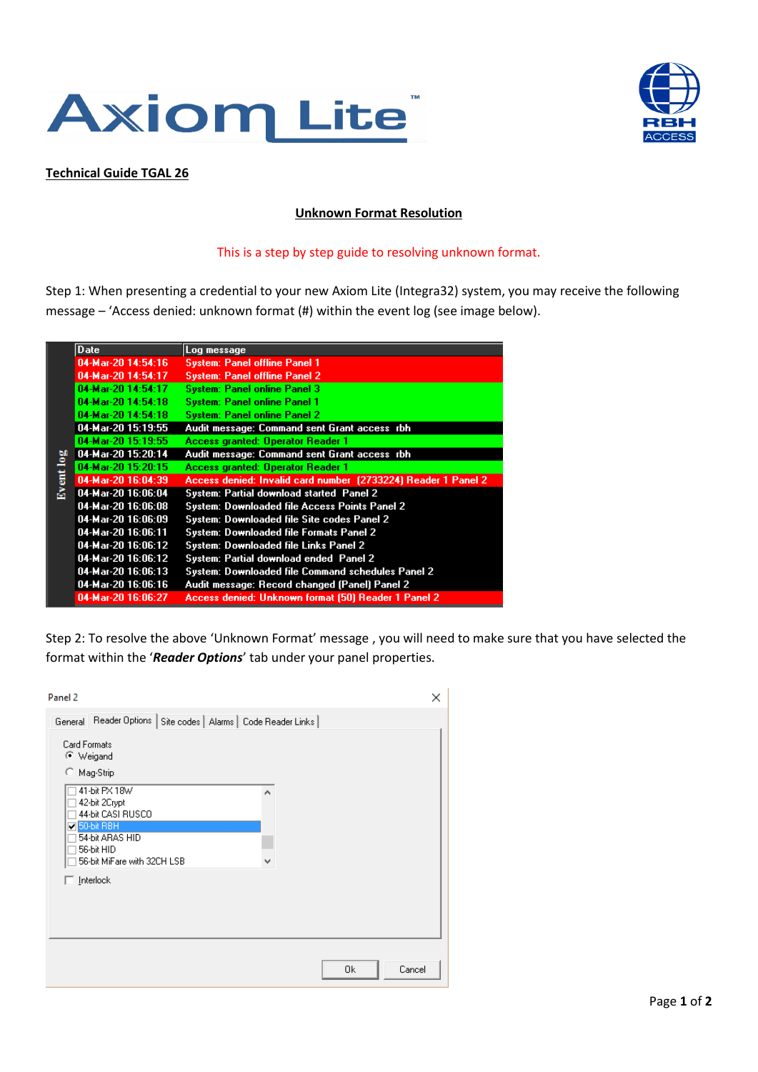



## **Technical Guide TGAL 26**

## **Unknown Format Resolution**

## This is a step by step guide to resolving unknown format.

Step 1: When presenting a credential to your new Axiom Lite (Integra32) system, you may receive the following message – 'Access denied: unknown format (#) within the event log (see image below).

|              | Date                   | Log message                                                   |
|--------------|------------------------|---------------------------------------------------------------|
| ent log<br>負 | 04-Mar-20 14:54:16     | <b>System: Panel offline Panel 1</b>                          |
|              | 04-Mar-20 14:54:17     | <b>System: Panel offline Panel 2</b>                          |
|              | 04-Mar-20 14:54:17     | <b>System: Panel online Panel 3</b>                           |
|              | 04-Mar-20 14:54:18     | <b>System: Panel online Panel 1</b>                           |
|              | 04-Mar-20 14:54:18     | <b>System: Panel online Panel 2</b>                           |
|              | 04-Mar-20 15:19:55     | Audit message: Command sent Grant access rbh                  |
|              | 04-Mar-20 15:19:55     | Access granted: Operator Reader 1                             |
|              | 04-Mar-20 15:20:14     | Audit message: Command sent Grant access rbh                  |
|              | 04-Mar-20 15:20:15     | Access granted: Operator Reader 1                             |
|              | 04-Mar-20 16:04:39     | Access denied: Invalid card number (2733224) Reader 1 Panel 2 |
|              | 04-Mar-20 16:06:04     | System: Partial download started Panel 2                      |
|              | 04-Mar-20 16:06:08     | <b>System: Downloaded file Access Points Panel 2</b>          |
|              | $04 - Ma - 2016:06:09$ | System: Downloaded file Site codes Panel 2                    |
|              | 04-Mar-20 16:06:11     | <b>System: Downloaded file Formats Panel 2</b>                |
|              | 04-Mar-20 16:06:12     | System: Downloaded file Links Panel 2                         |
|              | 04-Mar-20 16:06:12     | System: Partial download ended Panel 2                        |
|              | 04-Mar-20 16:06:13     | System: Downloaded file Command schedules Panel 2             |
|              | 04-Mar-20 16:06:16     | Audit message: Record changed (Panel) Panel 2                 |
|              | 04-Mar-20 16:06:27     | Access denied: Unknown format (50) Reader 1 Panel 2           |

Step 2: To resolve the above 'Unknown Format' message , you will need to make sure that you have selected the format within the '*Reader Options*' tab under your panel properties.

| Panel 2                                                                                                                                                                                                                                                                     | ×            |
|-----------------------------------------------------------------------------------------------------------------------------------------------------------------------------------------------------------------------------------------------------------------------------|--------------|
| General Reader Options   Site codes   Alarms   Code Reader Links  <br><b>Card Formats</b><br>C Weigand<br>C Mag-Strip<br>41-bit PX 18W<br>۸<br>42-bit 2Crypt<br>44-bit CASI RUSCO<br>$\Box$ 50-bit RBH<br>54-bit ARAS HID<br>56-bit HID<br>56-bit MiFare with 32CH LSB<br>v |              |
| $\Box$ Interlock                                                                                                                                                                                                                                                            | Cancel<br>0k |